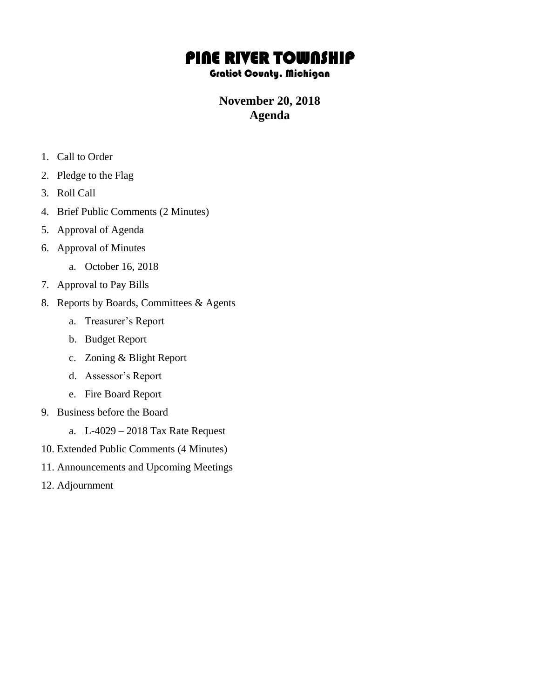# PINE RIVER TOWNSHIP

#### Gratiot County, Michigan

## **November 20, 2018 Agenda**

- 1. Call to Order
- 2. Pledge to the Flag
- 3. Roll Call
- 4. Brief Public Comments (2 Minutes)
- 5. Approval of Agenda
- 6. Approval of Minutes
	- a. October 16, 2018
- 7. Approval to Pay Bills
- 8. Reports by Boards, Committees & Agents
	- a. Treasurer's Report
	- b. Budget Report
	- c. Zoning & Blight Report
	- d. Assessor's Report
	- e. Fire Board Report
- 9. Business before the Board
	- a. L-4029 2018 Tax Rate Request
- 10. Extended Public Comments (4 Minutes)
- 11. Announcements and Upcoming Meetings
- 12. Adjournment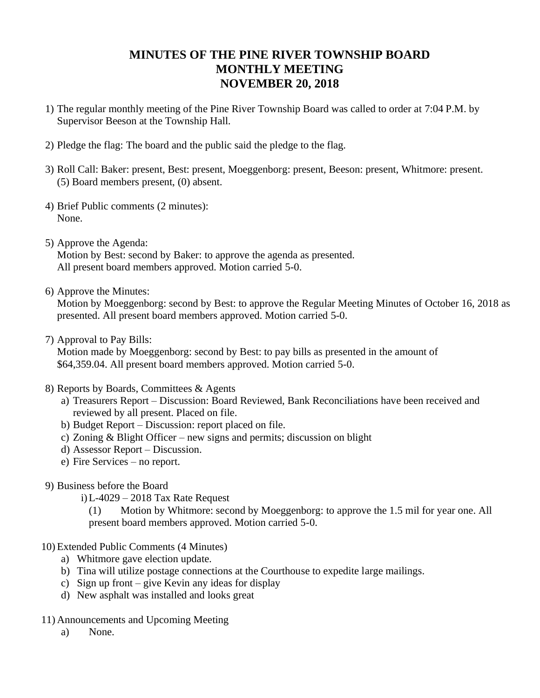## **MINUTES OF THE PINE RIVER TOWNSHIP BOARD MONTHLY MEETING NOVEMBER 20, 2018**

- 1) The regular monthly meeting of the Pine River Township Board was called to order at 7:04 P.M. by Supervisor Beeson at the Township Hall.
- 2) Pledge the flag: The board and the public said the pledge to the flag.
- 3) Roll Call: Baker: present, Best: present, Moeggenborg: present, Beeson: present, Whitmore: present. (5) Board members present, (0) absent.
- 4) Brief Public comments (2 minutes): None.
- 5) Approve the Agenda: Motion by Best: second by Baker: to approve the agenda as presented. All present board members approved. Motion carried 5-0.
- 6) Approve the Minutes:

Motion by Moeggenborg: second by Best: to approve the Regular Meeting Minutes of October 16, 2018 as presented. All present board members approved. Motion carried 5-0.

7) Approval to Pay Bills:

Motion made by Moeggenborg: second by Best: to pay bills as presented in the amount of \$64,359.04. All present board members approved. Motion carried 5-0.

- 8) Reports by Boards, Committees & Agents
	- a) Treasurers Report Discussion: Board Reviewed, Bank Reconciliations have been received and reviewed by all present. Placed on file.
	- b) Budget Report Discussion: report placed on file.
	- c) Zoning & Blight Officer new signs and permits; discussion on blight
	- d) Assessor Report Discussion.
	- e) Fire Services no report.
- 9) Business before the Board
	- i)L-4029 2018 Tax Rate Request
		- (1) Motion by Whitmore: second by Moeggenborg: to approve the 1.5 mil for year one. All present board members approved. Motion carried 5-0.
- 10) Extended Public Comments (4 Minutes)
	- a) Whitmore gave election update.
	- b) Tina will utilize postage connections at the Courthouse to expedite large mailings.
	- c) Sign up front give Kevin any ideas for display
	- d) New asphalt was installed and looks great
- 11) Announcements and Upcoming Meeting
	- a) None.